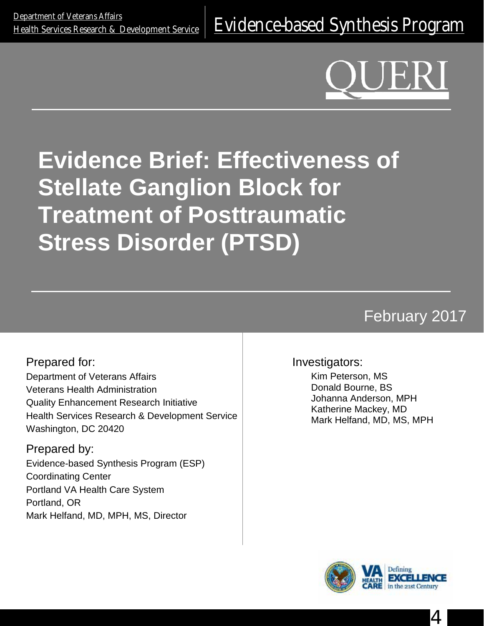# **Evidence Brief: Effectiveness of Stellate Ganglion Block for Treatment of Posttraumatic Stress Disorder (PTSD)**

## February 2017

Prepared for: Department of Veterans Affairs Veterans Health Administration Quality Enhancement Research Initiative Health Services Research & Development Service Washington, DC 20420

Prepared by: Evidence-based Synthesis Program (ESP) Coordinating Center Portland VA Health Care System Portland, OR Mark Helfand, MD, MPH, MS, Director

#### Investigators:

Kim Peterson, MS Donald Bourne, BS Johanna Anderson, MPH Katherine Mackey, MD Mark Helfand, MD, MS, MPH



4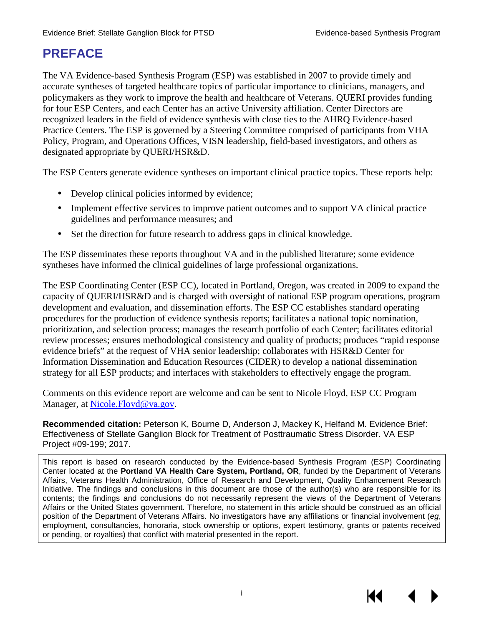### **PREFACE**

The VA Evidence-based Synthesis Program (ESP) was established in 2007 to provide timely and accurate syntheses of targeted healthcare topics of particular importance to clinicians, managers, and policymakers as they work to improve the health and healthcare of Veterans. QUERI provides funding for four ESP Centers, and each Center has an active University affiliation. Center Directors are recognized leaders in the field of evidence synthesis with close ties to the AHRQ Evidence-based Practice Centers. The ESP is governed by a Steering Committee comprised of participants from VHA Policy, Program, and Operations Offices, VISN leadership, field-based investigators, and others as designated appropriate by QUERI/HSR&D.

The ESP Centers generate evidence syntheses on important clinical practice topics. These reports help:

- Develop clinical policies informed by evidence;  $\mathbf{r}$
- Implement effective services to improve patient outcomes and to support VA clinical practice guidelines and performance measures; and
- Set the direction for future research to address gaps in clinical knowledge.

The ESP disseminates these reports throughout VA and in the published literature; some evidence syntheses have informed the clinical guidelines of large professional organizations.

The ESP Coordinating Center (ESP CC), located in Portland, Oregon, was created in 2009 to expand the capacity of QUERI/HSR&D and is charged with oversight of national ESP program operations, program development and evaluation, and dissemination efforts. The ESP CC establishes standard operating procedures for the production of evidence synthesis reports; facilitates a national topic nomination, prioritization, and selection process; manages the research portfolio of each Center; facilitates editorial review processes; ensures methodological consistency and quality of products; produces "rapid response evidence briefs" at the request of VHA senior leadership; collaborates with HSR&D Center for Information Dissemination and Education Resources (CIDER) to develop a national dissemination strategy for all ESP products; and interfaces with stakeholders to effectively engage the program.

Comments on this evidence report are welcome and can be sent to Nicole Floyd, ESP CC Program Manager, at [Nicole.Floyd@va.gov.](mailto:Nicole.Floyd@va.gov)

**Recommended citation:** Peterson K, Bourne D, Anderson J, Mackey K, Helfand M. Evidence Brief: Effectiveness of Stellate Ganglion Block for Treatment of Posttraumatic Stress Disorder. VA ESP Project #09-199; 2017.

This report is based on research conducted by the Evidence-based Synthesis Program (ESP) Coordinating Center located at the **Portland VA Health Care System, Portland, OR**, funded by the Department of Veterans Affairs, Veterans Health Administration, Office of Research and Development, Quality Enhancement Research Initiative. The findings and conclusions in this document are those of the author(s) who are responsible for its contents; the findings and conclusions do not necessarily represent the views of the Department of Veterans Affairs or the United States government. Therefore, no statement in this article should be construed as an official position of the Department of Veterans Affairs. No investigators have any affiliations or financial involvement (*eg*, employment, consultancies, honoraria, stock ownership or options, expert testimony, grants or patents received or pending, or royalties) that conflict with material presented in the report.

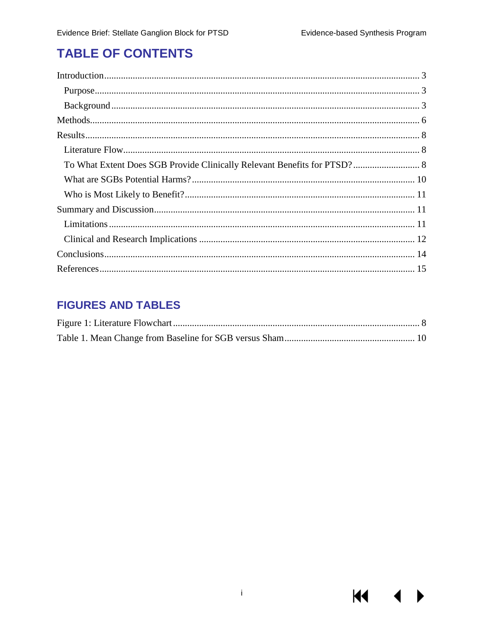**KI** 

### **TABLE OF CONTENTS**

### **FIGURES AND TABLES**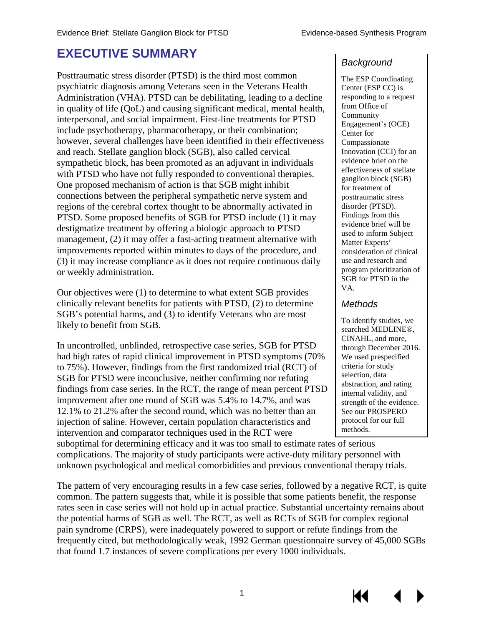### **EXECUTIVE SUMMARY**

Posttraumatic stress disorder (PTSD) is the third most common psychiatric diagnosis among Veterans seen in the Veterans Health Administration (VHA). PTSD can be debilitating, leading to a decline in quality of life (QoL) and causing significant medical, mental health, interpersonal, and social impairment. First-line treatments for PTSD include psychotherapy, pharmacotherapy, or their combination; however, several challenges have been identified in their effectiveness and reach. Stellate ganglion block (SGB), also called cervical sympathetic block, has been promoted as an adjuvant in individuals with PTSD who have not fully responded to conventional therapies. One proposed mechanism of action is that SGB might inhibit connections between the peripheral sympathetic nerve system and regions of the cerebral cortex thought to be abnormally activated in PTSD. Some proposed benefits of SGB for PTSD include (1) it may destigmatize treatment by offering a biologic approach to PTSD management, (2) it may offer a fast-acting treatment alternative with improvements reported within minutes to days of the procedure, and (3) it may increase compliance as it does not require continuous daily or weekly administration.

Our objectives were (1) to determine to what extent SGB provides clinically relevant benefits for patients with PTSD, (2) to determine SGB's potential harms, and (3) to identify Veterans who are most likely to benefit from SGB.

In uncontrolled, unblinded, retrospective case series, SGB for PTSD had high rates of rapid clinical improvement in PTSD symptoms (70% to 75%). However, findings from the first randomized trial (RCT) of SGB for PTSD were inconclusive, neither confirming nor refuting findings from case series. In the RCT, the range of mean percent PTSD improvement after one round of SGB was 5.4% to 14.7%, and was 12.1% to 21.2% after the second round, which was no better than an injection of saline. However, certain population characteristics and intervention and comparator techniques used in the RCT were

suboptimal for determining efficacy and it was too small to estimate rates of serious complications. The majority of study participants were active-duty military personnel with unknown psychological and medical comorbidities and previous conventional therapy trials.

The pattern of very encouraging results in a few case series, followed by a negative RCT, is quite common. The pattern suggests that, while it is possible that some patients benefit, the response rates seen in case series will not hold up in actual practice. Substantial uncertainty remains about the potential harms of SGB as well. The RCT, as well as RCTs of SGB for complex regional pain syndrome (CRPS), were inadequately powered to support or refute findings from the frequently cited, but methodologically weak, 1992 German questionnaire survey of 45,000 SGBs that found 1.7 instances of severe complications per every 1000 individuals.

#### *Background*

The ESP Coordinating Center (ESP CC) is responding to a request from Office of Community Engagement's (OCE) Center for Compassionate Innovation (CCI) for an evidence brief on the effectiveness of stellate ganglion block (SGB) for treatment of posttraumatic stress disorder (PTSD). Findings from this evidence brief will be used to inform Subject Matter Experts' consideration of clinical use and research and program prioritization of SGB for PTSD in the VA.

#### *Methods*

To identify studies, we searched MEDLINE®, CINAHL, and more, through December 2016. We used prespecified criteria for study selection, data abstraction, and rating internal validity, and strength of the evidence. See our PROSPERO protocol for our full methods.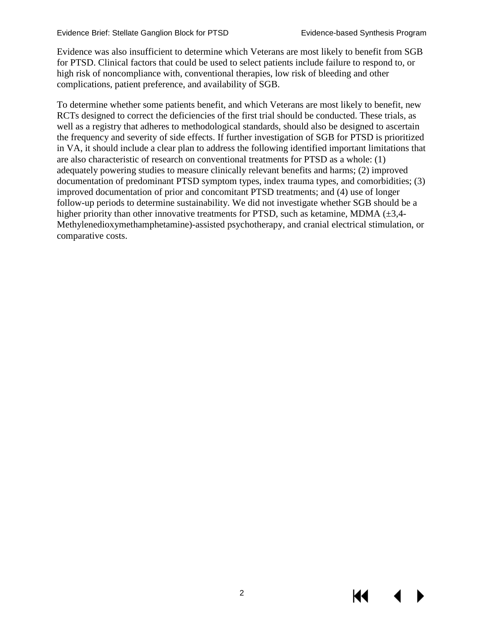KI

Evidence was also insufficient to determine which Veterans are most likely to benefit from SGB for PTSD. Clinical factors that could be used to select patients include failure to respond to, or high risk of noncompliance with, conventional therapies, low risk of bleeding and other complications, patient preference, and availability of SGB.

To determine whether some patients benefit, and which Veterans are most likely to benefit, new RCTs designed to correct the deficiencies of the first trial should be conducted. These trials, as well as a registry that adheres to methodological standards, should also be designed to ascertain the frequency and severity of side effects. If further investigation of SGB for PTSD is prioritized in VA, it should include a clear plan to address the following identified important limitations that are also characteristic of research on conventional treatments for PTSD as a whole: (1) adequately powering studies to measure clinically relevant benefits and harms; (2) improved documentation of predominant PTSD symptom types, index trauma types, and comorbidities; (3) improved documentation of prior and concomitant PTSD treatments; and (4) use of longer follow-up periods to determine sustainability. We did not investigate whether SGB should be a higher priority than other innovative treatments for PTSD, such as ketamine, MDMA  $(\pm 3, 4-$ Methylenedioxymethamphetamine)-assisted psychotherapy, and cranial electrical stimulation, or comparative costs.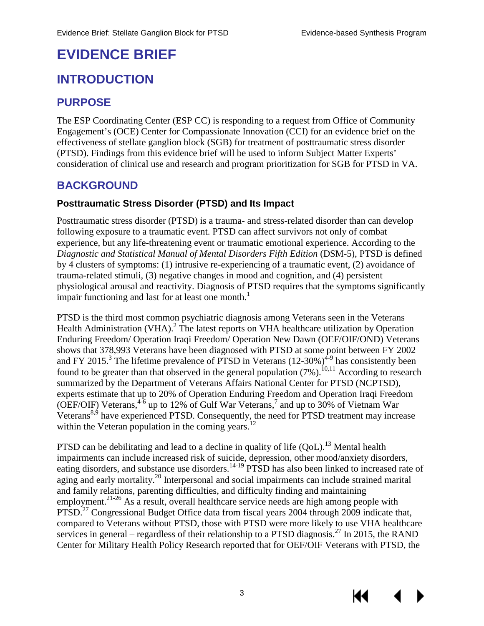## **EVIDENCE BRIEF**

### <span id="page-5-0"></span>**INTRODUCTION**

### <span id="page-5-1"></span>**PURPOSE**

The ESP Coordinating Center (ESP CC) is responding to a request from Office of Community Engagement's (OCE) Center for Compassionate Innovation (CCI) for an evidence brief on the effectiveness of stellate ganglion block (SGB) for treatment of posttraumatic stress disorder (PTSD). Findings from this evidence brief will be used to inform Subject Matter Experts' consideration of clinical use and research and program prioritization for SGB for PTSD in VA.

#### <span id="page-5-2"></span>**BACKGROUND**

#### **Posttraumatic Stress Disorder (PTSD) and Its Impact**

Posttraumatic stress disorder (PTSD) is a trauma- and stress-related disorder than can develop following exposure to a traumatic event. PTSD can affect survivors not only of combat experience, but any life-threatening event or traumatic emotional experience. According to the *Diagnostic and Statistical Manual of Mental Disorders Fifth Edition* (DSM-5), PTSD is defined by 4 clusters of symptoms: (1) intrusive re-experiencing of a traumatic event, (2) avoidance of trauma-related stimuli, (3) negative changes in mood and cognition, and (4) persistent physiological arousal and reactivity. Diagnosis of PTSD requires that the symptoms significantly impair functioning and last for at least one month.<sup>[1](#page-17-1)</sup>

PTSD is the third most common psychiatric diagnosis among Veterans seen in the Veterans Health Administration (VHA)[.](#page-17-2)<sup>2</sup> The latest reports on VHA healthcare utilization by Operation Enduring Freedom/ Operation Iraqi Freedom/ Operation New Dawn (OEF/OIF/OND) Veterans shows that 378,993 Veterans have been diagnosed with PTSD at some point between FY 2002 and FY 2015[.](#page-17-3)<sup>3</sup> The lifetime prevalence of PTSD in Veterans  $(12{\text -}30\%)$ <sup>4-9</sup> has consistently been found to be greater than that observed in the general population  $(7%)$ .<sup>[10,](#page-17-5)[11](#page-17-6)</sup> According to research summarized by the Department of Veterans Affairs National Center for PTSD (NCPTSD), experts estimate that up to 20% of Operation Enduring Freedom and Operation Iraqi Freedom (OEF/OIF) Veterans,  $4\overline{6}$  up to 12% of Gulf War Veterans,  $\overline{7}$  $\overline{7}$  $\overline{7}$  and up to 30% of Vietnam War Veterans<sup>[8,](#page-17-8)[9](#page-17-9)</sup> have experienced PTSD. Consequently, the need for PTSD treatment may increase within the Veteran population in the coming years.<sup>[12](#page-17-10)</sup>

PTSD can be debilitating and lead to a decline in quality of life  $(QoL)$ .<sup>[13](#page-17-11)</sup> Mental health impairments can include increased risk of suicide, depression, other mood/anxiety disorders, eating disorders, and substance use disorders.<sup>[14-19](#page-17-12)</sup> PTSD has also been linked to increased rate of aging and early mortality.<sup>[20](#page-18-0)</sup> Interpersonal and social impairments can include strained marital and family relations, parenting difficulties, and difficulty finding and maintaining employment.<sup>[21-26](#page-18-1)</sup> As a result, overall healthcare service needs are high among people with PTSD.<sup>27</sup> Congressional Budget Office data from fiscal years 2004 through 2009 indicate that, compared to Veterans without PTSD, those with PTSD were more likely to use VHA healthcare services in general – regardless of their relationship to a PTSD diagnosis.<sup>27</sup> In 2015, the RAND Center for Military Health Policy Research reported that for OEF/OIF Veterans with PTSD, the

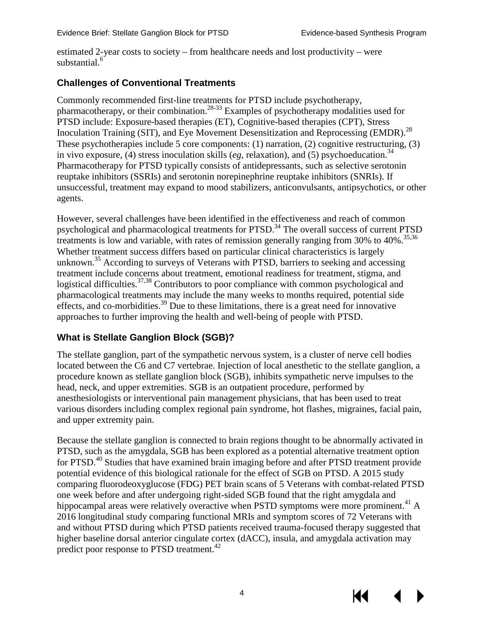estimated 2-year costs to society – from healthcare needs and lost productivity – were substantial.<sup>[6](#page-17-13)</sup>

#### **Challenges of Conventional Treatments**

Commonly recommended first-line treatments for PTSD include psychotherapy, pharmacotherapy, or their combination.<sup>[28-33](#page-18-3)</sup> Examples of psychotherapy modalities used for PTSD include: Exposure-based therapies (ET), Cognitive-based therapies (CPT), Stress Inoculation Training (SIT), and Eye Movement Desensitization and Reprocessing (EMDR).<sup>[28](#page-18-3)</sup> These psychotherapies include 5 core components: (1) narration, (2) cognitive restructuring, (3) in vivo exposure, (4) stress inoculation skills (*eg*, relaxation), and (5) psychoeducation.<sup>[34](#page-19-0)</sup> Pharmacotherapy for PTSD typically consists of antidepressants, such as selective serotonin reuptake inhibitors (SSRIs) and serotonin norepinephrine reuptake inhibitors (SNRIs). If unsuccessful, treatment may expand to mood stabilizers, anticonvulsants, antipsychotics, or other agents.

However, several challenges have been identified in the effectiveness and reach of common psychological and pharmacological treatments for PTSD.<sup>34</sup> The overall success of current PTSD treatments is low and variable, with rates of remission generally ranging from 30% to  $40\%$ .<sup>35,[36](#page-19-2)</sup> Whether treatment success differs based on particular clinical characteristics is largely unknown.<sup>35</sup> According to surveys of Veterans with PTSD, barriers to seeking and accessing treatment include concerns about treatment, emotional readiness for treatment, stigma, and logistical difficulties.<sup>[37](#page-19-3)[,38](#page-19-4)</sup> Contributors to poor compliance with common psychological and pharmacological treatments may include the many weeks to months required, potential side effects, and co-morbidities.<sup>39</sup> Due to these limitations, there is a great need for innovative approaches to further improving the health and well-being of people with PTSD.

#### **What is Stellate Ganglion Block (SGB)?**

The stellate ganglion, part of the sympathetic nervous system, is a cluster of nerve cell bodies located between the C6 and C7 vertebrae. Injection of local anesthetic to the stellate ganglion, a procedure known as stellate ganglion block (SGB), inhibits sympathetic nerve impulses to the head, neck, and upper extremities. SGB is an outpatient procedure, performed by anesthesiologists or interventional pain management physicians, that has been used to treat various disorders including complex regional pain syndrome, hot flashes, migraines, facial pain, and upper extremity pain.

Because the stellate ganglion is connected to brain regions thought to be abnormally activated in PTSD, such as the amygdala, SGB has been explored as a potential alternative treatment option for PTSD.<sup>[40](#page-19-6)</sup> Studies that have examined brain imaging before and after PTSD treatment provide potential evidence of this biological rationale for the effect of SGB on PTSD. A 2015 study comparing fluorodeoxyglucose (FDG) PET brain scans of 5 Veterans with combat-related PTSD one week before and after undergoing right-sided SGB found that the right amygdala and hippocampal areas were relatively overactive when PSTD symptoms were more prominent.<sup>[41](#page-19-7)</sup> A 2016 longitudinal study comparing functional MRIs and symptom scores of 72 Veterans with and without PTSD during which PTSD patients received trauma-focused therapy suggested that higher baseline dorsal anterior cingulate cortex (dACC), insula, and amygdala activation may predict poor response to PTSD treatment.<sup>42</sup>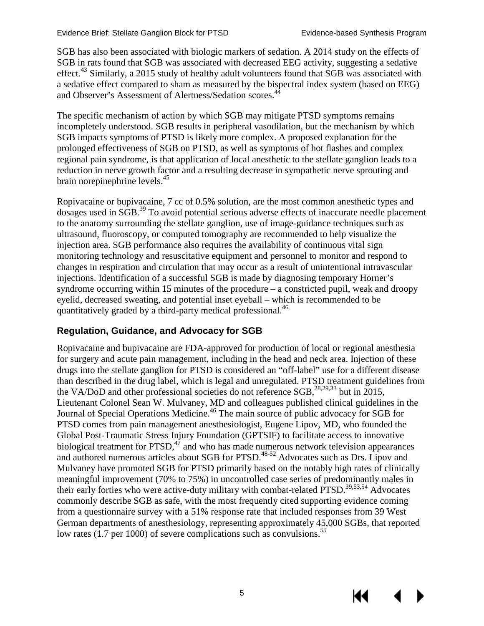SGB has also been associated with biologic markers of sedation. A 2014 study on the effects of SGB in rats found that SGB was associated with decreased EEG activity, suggesting a sedative effect.<sup>43</sup> Similarly, a 2015 study of healthy adult volunteers found that SGB was associated with a sedative effect compared to sham as measured by the bispectral index system (based on EEG) and Observer's Assessment of Alertness/Sedation scores.<sup>4</sup>

The specific mechanism of action by which SGB may mitigate PTSD symptoms remains incompletely understood. SGB results in peripheral vasodilation, but the mechanism by which SGB impacts symptoms of PTSD is likely more complex. A proposed explanation for the prolonged effectiveness of SGB on PTSD, as well as symptoms of hot flashes and complex regional pain syndrome, is that application of local anesthetic to the stellate ganglion leads to a reduction in nerve growth factor and a resulting decrease in sympathetic nerve sprouting and brain norepinephrine levels.<sup>[45](#page-19-11)</sup>

Ropivacaine or bupivacaine, 7 cc of 0.5% solution, are the most common anesthetic types and dosages used in SGB.<sup>[39](#page-19-5)</sup> To avoid potential serious adverse effects of inaccurate needle placement to the anatomy surrounding the stellate ganglion, use of image-guidance techniques such as ultrasound, fluoroscopy, or computed tomography are recommended to help visualize the injection area. SGB performance also requires the availability of continuous vital sign monitoring technology and resuscitative equipment and personnel to monitor and respond to changes in respiration and circulation that may occur as a result of unintentional intravascular injections. Identification of a successful SGB is made by diagnosing temporary Horner's syndrome occurring within 15 minutes of the procedure – a constricted pupil, weak and droopy eyelid, decreased sweating, and potential inset eyeball – which is recommended to be quantitatively graded by a third-party medical professional.<sup>[46](#page-20-0)</sup>

#### **Regulation, Guidance, and Advocacy for SGB**

Ropivacaine and bupivacaine are FDA-approved for production of local or regional anesthesia for surgery and acute pain management, including in the head and neck area. Injection of these drugs into the stellate ganglion for PTSD is considered an "off-label" use for a different disease than described in the drug label, which is legal and unregulated. PTSD treatment guidelines from the VA/DoD and other professional societies do not reference  $\text{SGB}$ ,<sup>[28,](#page-18-3)[29](#page-18-4)[,33](#page-19-12)</sup> but in 2015, Lieutenant Colonel Sean W. Mulvaney, MD and colleagues published clinical guidelines in the Journal of Special Operations Medicine.<sup>46</sup> The main source of public advocacy for SGB for PTSD comes from pain management anesthesiologist, Eugene Lipov, MD, who founded the Global Post-Traumatic Stress Injury Foundation (GPTSIF) to facilitate access to innovative biological treatment for  $PTSD$ ,<sup> $47$ </sup> and who has made numerous network television appearances and authored numerous articles about SGB for PTSD.<sup>[48-52](#page-20-2)</sup> Advocates such as Drs. Lipov and Mulvaney have promoted SGB for PTSD primarily based on the notably high rates of clinically meaningful improvement (70% to 75%) in uncontrolled case series of predominantly males in their early forties who were active-duty military with combat-related PTSD.<sup>[39](#page-19-5)[,53](#page-20-3)[,54](#page-20-4)</sup> Advocates commonly describe SGB as safe, with the most frequently cited supporting evidence coming from a questionnaire survey with a 51% response rate that included responses from 39 West German departments of anesthesiology, representing approximately 45,000 SGBs, that reported low rates (1.7 per 1000) of severe complications such as convulsions.<sup>[55](#page-20-5)</sup>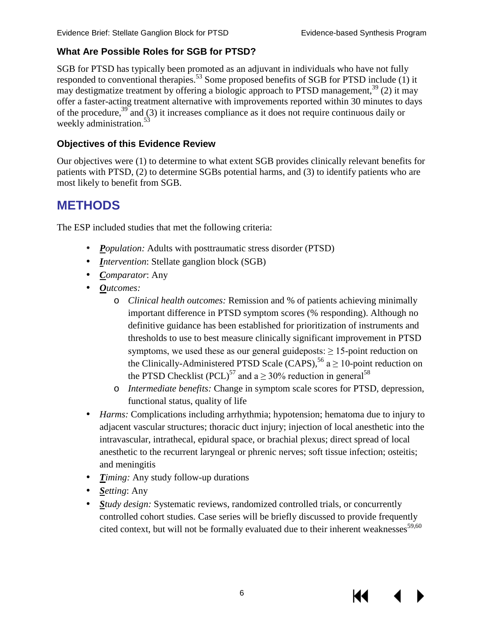#### **What Are Possible Roles for SGB for PTSD?**

SGB for PTSD has typically been promoted as an adjuvant in individuals who have not fully responded to conventional therapies[.53](#page-20-3) Some proposed benefits of SGB for PTSD include (1) it may destigmatize treatment by offering a biologic approach to PTSD management,<sup>[39](#page-19-5)</sup> (2) it may offer a faster-acting treatment alternative with improvements reported within 30 minutes to days of the procedure,<sup>[39](#page-19-5)</sup> and (3) it increases compliance as it does not require continuous daily or weekly administration.<sup>[53](#page-20-3)</sup>

#### **Objectives of this Evidence Review**

<span id="page-8-0"></span>Our objectives were (1) to determine to what extent SGB provides clinically relevant benefits for patients with PTSD, (2) to determine SGBs potential harms, and (3) to identify patients who are most likely to benefit from SGB.

### **METHODS**

The ESP included studies that met the following criteria:

- *Population:* Adults with posttraumatic stress disorder (PTSD)
- *Intervention*: Stellate ganglion block (SGB)  $\mathcal{L}^{\text{max}}$
- *Comparator*: Any
- *Outcomes:* 
	- o *Clinical health outcomes:* Remission and % of patients achieving minimally important difference in PTSD symptom scores (% responding). Although no definitive guidance has been established for prioritization of instruments and thresholds to use to best measure clinically significant improvement in PTSD symptoms, we used these as our general guideposts:  $\geq$  15-point reduction on the Clinically-Administered PTSD Scale (CAPS),<sup>[56](#page-20-6)</sup> a  $\geq 10$ -point reduction on the PTSD Checklist (PCL)<sup>57</sup> and a  $>$  30% reduction in general<sup>[58](#page-20-8)</sup>
	- o *Intermediate benefits:* Change in symptom scale scores for PTSD, depression, functional status, quality of life
- l, *Harms:* Complications including arrhythmia; hypotension; hematoma due to injury to adjacent vascular structures; thoracic duct injury; injection of local anesthetic into the intravascular, intrathecal, epidural space, or brachial plexus; direct spread of local anesthetic to the recurrent laryngeal or phrenic nerves; soft tissue infection; osteitis; and meningitis
- *Timing:* Any study follow-up durations
- *Setting*: Any
- *Study design:* Systematic reviews, randomized controlled trials, or concurrently controlled cohort studies. Case series will be briefly discussed to provide frequently cited context, but will not be formally evaluated due to their inherent weaknesses $59,60$  $59,60$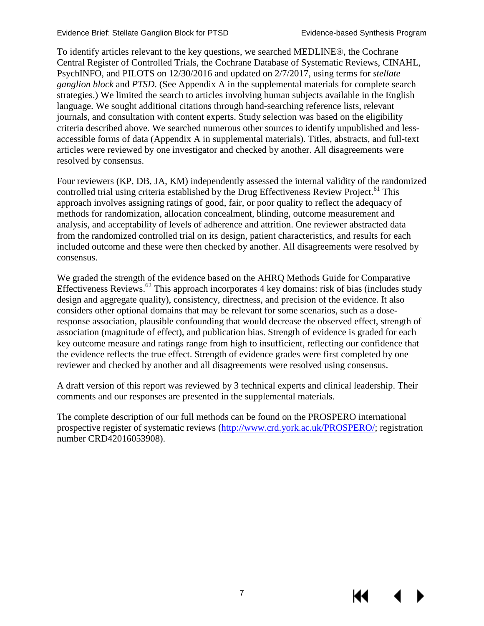To identify articles relevant to the key questions, we searched MEDLINE®, the Cochrane Central Register of Controlled Trials, the Cochrane Database of Systematic Reviews, CINAHL, PsychINFO, and PILOTS on 12/30/2016 and updated on 2/7/2017, using terms for *stellate ganglion block* and *PTSD*. (See Appendix A in the supplemental materials for complete search strategies.) We limited the search to articles involving human subjects available in the English language. We sought additional citations through hand-searching reference lists, relevant journals, and consultation with content experts. Study selection was based on the eligibility criteria described above. We searched numerous other sources to identify unpublished and lessaccessible forms of data (Appendix A in supplemental materials). Titles, abstracts, and full-text articles were reviewed by one investigator and checked by another. All disagreements were resolved by consensus.

Four reviewers (KP, DB, JA, KM) independently assessed the internal validity of the randomized controlled trial using criteria established by the Drug Effectiveness Review Project.<sup>61</sup> This approach involves assigning ratings of good, fair, or poor quality to reflect the adequacy of methods for randomization, allocation concealment, blinding, outcome measurement and analysis, and acceptability of levels of adherence and attrition. One reviewer abstracted data from the randomized controlled trial on its design, patient characteristics, and results for each included outcome and these were then checked by another. All disagreements were resolved by consensus.

We graded the strength of the evidence based on the AHRQ Methods Guide for Comparative Effectiveness Reviews.<sup>[62](#page-21-0)</sup> This approach incorporates 4 key domains: risk of bias (includes study design and aggregate quality), consistency, directness, and precision of the evidence. It also considers other optional domains that may be relevant for some scenarios, such as a doseresponse association, plausible confounding that would decrease the observed effect, strength of association (magnitude of effect), and publication bias. Strength of evidence is graded for each key outcome measure and ratings range from high to insufficient, reflecting our confidence that the evidence reflects the true effect. Strength of evidence grades were first completed by one reviewer and checked by another and all disagreements were resolved using consensus.

A draft version of this report was reviewed by 3 technical experts and clinical leadership. Their comments and our responses are presented in the supplemental materials.

The complete description of our full methods can be found on the PROSPERO international prospective register of systematic reviews [\(http://www.crd.york.ac.uk/PROSPERO/;](http://www.crd.york.ac.uk/PROSPERO/) registration number CRD42016053908).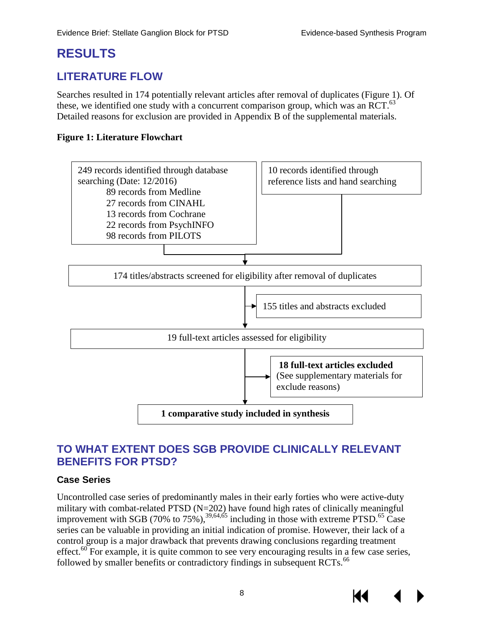### <span id="page-10-0"></span>**RESULTS**

#### <span id="page-10-1"></span>**LITERATURE FLOW**

Searches resulted in 174 potentially relevant articles after removal of duplicates (Figure 1). Of these, we identified one study with a concurrent comparison group, which was an RCT.<sup>[63](#page-21-1)</sup> Detailed reasons for exclusion are provided in Appendix B of the supplemental materials.

#### <span id="page-10-3"></span>**Figure 1: Literature Flowchart**



#### <span id="page-10-2"></span>**TO WHAT EXTENT DOES SGB PROVIDE CLINICALLY RELEVANT BENEFITS FOR PTSD?**

#### **Case Series**

Uncontrolled case series of predominantly males in their early forties who were active-duty military with combat-related PTSD (N=202) have found high rates of clinically meaningful improvement with SGB  $(70\%$  to  $75\%)$ ,  $^{39,64,65}$  $^{39,64,65}$  $^{39,64,65}$  $^{39,64,65}$  including in those with extreme PTSD.<sup>65</sup> Case series can be valuable in providing an initial indication of promise. However, their lack of a control group is a major drawback that prevents drawing conclusions regarding treatment effect.<sup>60</sup> For example, it is quite common to see very encouraging results in a few case series, followed by smaller benefits or contradictory findings in subsequent RCTs.<sup>66</sup>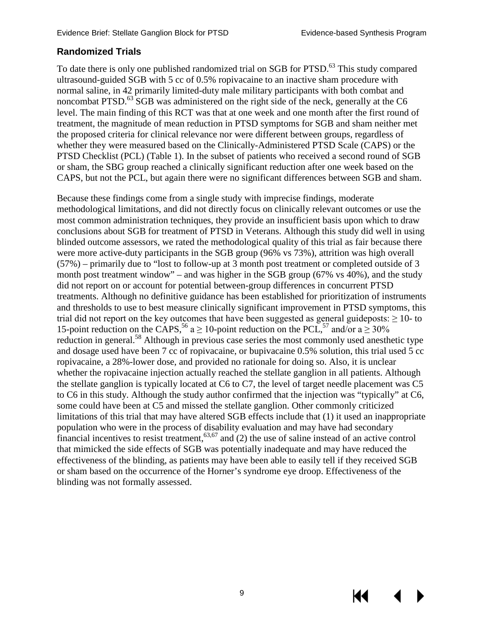#### **Randomized Trials**

To date there is only one published randomized trial on SGB for PTSD.<sup>63</sup> This study compared ultrasound-guided SGB with 5 cc of 0.5% ropivacaine to an inactive sham procedure with normal saline, in 42 primarily limited-duty male military participants with both combat and noncombat PTSD.<sup>[63](#page-21-1)</sup> SGB was administered on the right side of the neck, generally at the C6 level. The main finding of this RCT was that at one week and one month after the first round of treatment, the magnitude of mean reduction in PTSD symptoms for SGB and sham neither met the proposed criteria for clinical relevance nor were different between groups, regardless of whether they were measured based on the Clinically-Administered PTSD Scale (CAPS) or the PTSD Checklist (PCL) (Table 1). In the subset of patients who received a second round of SGB or sham, the SBG group reached a clinically significant reduction after one week based on the CAPS, but not the PCL, but again there were no significant differences between SGB and sham.

Because these findings come from a single study with imprecise findings, moderate methodological limitations, and did not directly focus on clinically relevant outcomes or use the most common administration techniques, they provide an insufficient basis upon which to draw conclusions about SGB for treatment of PTSD in Veterans. Although this study did well in using blinded outcome assessors, we rated the methodological quality of this trial as fair because there were more active-duty participants in the SGB group (96% vs 73%), attrition was high overall (57%) – primarily due to "lost to follow-up at 3 month post treatment or completed outside of 3 month post treatment window" – and was higher in the SGB group (67% vs 40%), and the study did not report on or account for potential between-group differences in concurrent PTSD treatments. Although no definitive guidance has been established for prioritization of instruments and thresholds to use to best measure clinically significant improvement in PTSD symptoms, this trial did not report on the key outcomes that have been suggested as general guideposts:  $\geq 10$ - to 15-point reduction on the CAPS,<sup>[56](#page-20-6)</sup> a  $\geq$  10-point reduction on the PCL,<sup>[57](#page-20-7)</sup> and/or a  $\geq$  30% reduction in general.<sup>[58](#page-20-8)</sup> Although in previous case series the most commonly used anesthetic type and dosage used have been 7 cc of ropivacaine, or bupivacaine 0.5% solution, this trial used 5 cc ropivacaine, a 28%-lower dose, and provided no rationale for doing so. Also, it is unclear whether the ropivacaine injection actually reached the stellate ganglion in all patients. Although the stellate ganglion is typically located at C6 to C7, the level of target needle placement was C5 to C6 in this study. Although the study author confirmed that the injection was "typically" at C6, some could have been at C5 and missed the stellate ganglion. Other commonly criticized limitations of this trial that may have altered SGB effects include that (1) it used an inappropriate population who were in the process of disability evaluation and may have had secondary financial incentives to resist treatment,  $63,67$  $63,67$  and (2) the use of saline instead of an active control that mimicked the side effects of SGB was potentially inadequate and may have reduced the effectiveness of the blinding, as patients may have been able to easily tell if they received SGB or sham based on the occurrence of the Horner's syndrome eye droop. Effectiveness of the blinding was not formally assessed.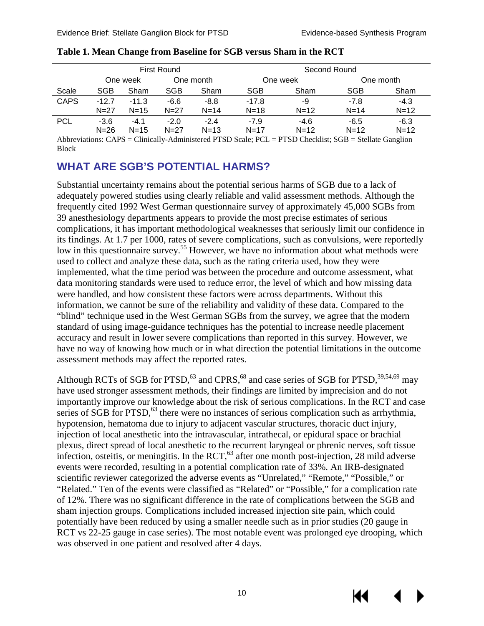|             | <b>First Round</b> |          |            |          | Second Round |          |            |        |
|-------------|--------------------|----------|------------|----------|--------------|----------|------------|--------|
|             | One week           |          | One month  |          | One week     |          | One month  |        |
| Scale       | SGB                | Sham     | <b>SGB</b> | Sham     | <b>SGB</b>   | Sham     | <b>SGB</b> | Sham   |
| <b>CAPS</b> | $-12.7$            | $-11.3$  | $-6.6$     | $-8.8$   | $-17.8$      | -9       | -7.8       | $-4.3$ |
|             | $N = 27$           | $N = 15$ | $N = 27$   | $N = 14$ | $N = 18$     | $N = 12$ | $N = 14$   | $N=12$ |
| <b>PCL</b>  | $-3.6$             | $-4.1$   | $-2.0$     | $-2.4$   | $-7.9$       | $-4.6$   | -6.5       | $-6.3$ |
|             | $N = 26$           | $N = 15$ | $N = 27$   | $N = 13$ | $N = 17$     | $N = 12$ | $N = 12$   | $N=12$ |

<span id="page-12-1"></span>

|  |  | Table 1. Mean Change from Baseline for SGB versus Sham in the RCT |  |
|--|--|-------------------------------------------------------------------|--|
|  |  |                                                                   |  |

Abbreviations: CAPS = Clinically-Administered PTSD Scale; PCL = PTSD Checklist; SGB = Stellate Ganglion **Block** 

#### <span id="page-12-0"></span>**WHAT ARE SGB'S POTENTIAL HARMS?**

Substantial uncertainty remains about the potential serious harms of SGB due to a lack of adequately powered studies using clearly reliable and valid assessment methods. Although the frequently cited 1992 West German questionnaire survey of approximately 45,000 SGBs from 39 anesthesiology departments appears to provide the most precise estimates of serious complications, it has important methodological weaknesses that seriously limit our confidence in its findings. At 1.7 per 1000, rates of severe complications, such as convulsions, were reportedly low in this questionnaire survey.<sup>55</sup> However, we have no information about what methods were used to collect and analyze these data, such as the rating criteria used, how they were implemented, what the time period was between the procedure and outcome assessment, what data monitoring standards were used to reduce error, the level of which and how missing data were handled, and how consistent these factors were across departments. Without this information, we cannot be sure of the reliability and validity of these data. Compared to the "blind" technique used in the West German SGBs from the survey, we agree that the modern standard of using image-guidance techniques has the potential to increase needle placement accuracy and result in lower severe complications than reported in this survey. However, we have no way of knowing how much or in what direction the potential limitations in the outcome assessment methods may affect the reported rates.

Although RCTs of SGB for PTSD,  $^{63}$  and CPRS,  $^{68}$  and case series of SGB for PTSD,  $^{39,54,69}$  $^{39,54,69}$  $^{39,54,69}$  $^{39,54,69}$  $^{39,54,69}$  may have used stronger assessment methods, their findings are limited by imprecision and do not importantly improve our knowledge about the risk of serious complications. In the RCT and case series of SGB for  $PTSD$ ,  $^{63}$  there were no instances of serious complication such as arrhythmia, hypotension, hematoma due to injury to adjacent vascular structures, thoracic duct injury, injection of local anesthetic into the intravascular, intrathecal, or epidural space or brachial plexus, direct spread of local anesthetic to the recurrent laryngeal or phrenic nerves, soft tissue infection, osteitis, or meningitis. In the RCT,  $^{63}$  after one month post-injection, 28 mild adverse events were recorded, resulting in a potential complication rate of 33%. An IRB-designated scientific reviewer categorized the adverse events as "Unrelated," "Remote," "Possible," or "Related." Ten of the events were classified as "Related" or "Possible," for a complication rate of 12%. There was no significant difference in the rate of complications between the SGB and sham injection groups. Complications included increased injection site pain, which could potentially have been reduced by using a smaller needle such as in prior studies (20 gauge in RCT vs 22-25 gauge in case series). The most notable event was prolonged eye drooping, which was observed in one patient and resolved after 4 days.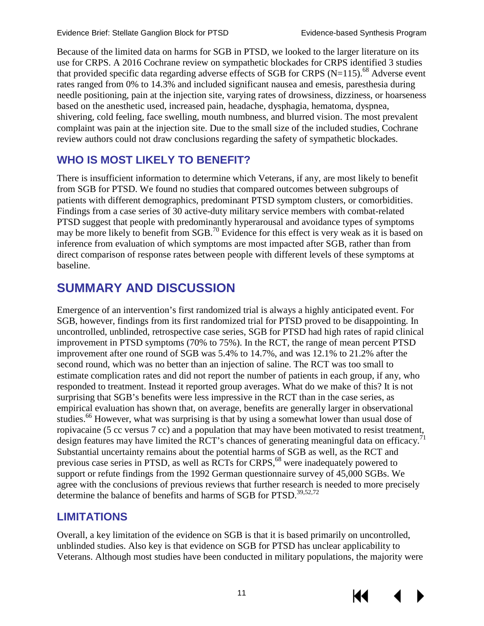Because of the limited data on harms for SGB in PTSD, we looked to the larger literature on its use for CRPS. A 2016 Cochrane review on sympathetic blockades for CRPS identified 3 studies that provided specific data regarding adverse effects of SGB for CRPS ( $N=115$ ).<sup>68</sup> Adverse event rates ranged from 0% to 14.3% and included significant nausea and emesis, paresthesia during needle positioning, pain at the injection site, varying rates of drowsiness, dizziness, or hoarseness based on the anesthetic used, increased pain, headache, dysphagia, hematoma, dyspnea, shivering, cold feeling, face swelling, mouth numbness, and blurred vision. The most prevalent complaint was pain at the injection site. Due to the small size of the included studies, Cochrane review authors could not draw conclusions regarding the safety of sympathetic blockades.

### <span id="page-13-0"></span>**WHO IS MOST LIKELY TO BENEFIT?**

There is insufficient information to determine which Veterans, if any, are most likely to benefit from SGB for PTSD. We found no studies that compared outcomes between subgroups of patients with different demographics, predominant PTSD symptom clusters, or comorbidities. Findings from a case series of 30 active-duty military service members with combat-related PTSD suggest that people with predominantly hyperarousal and avoidance types of symptoms may be more likely to benefit from SGB.<sup>[70](#page-21-8)</sup> Evidence for this effect is very weak as it is based on inference from evaluation of which symptoms are most impacted after SGB, rather than from direct comparison of response rates between people with different levels of these symptoms at baseline.

### <span id="page-13-1"></span>**SUMMARY AND DISCUSSION**

Emergence of an intervention's first randomized trial is always a highly anticipated event. For SGB, however, findings from its first randomized trial for PTSD proved to be disappointing. In uncontrolled, unblinded, retrospective case series, SGB for PTSD had high rates of rapid clinical improvement in PTSD symptoms (70% to 75%). In the RCT, the range of mean percent PTSD improvement after one round of SGB was 5.4% to 14.7%, and was 12.1% to 21.2% after the second round, which was no better than an injection of saline. The RCT was too small to estimate complication rates and did not report the number of patients in each group, if any, who responded to treatment. Instead it reported group averages. What do we make of this? It is not surprising that SGB's benefits were less impressive in the RCT than in the case series, as empirical evaluation has shown that, on average, benefits are generally larger in observational studies.<sup>66</sup> However, what was surprising is that by using a somewhat lower than usual dose of ropivacaine (5 cc versus 7 cc) and a population that may have been motivated to resist treatment, design features may have limited the RCT's chances of generating meaningful data on efficacy.<sup>71</sup> Substantial uncertainty remains about the potential harms of SGB as well, as the RCT and previous case series in PTSD, as well as RCTs for CRPS,<sup>[68](#page-21-6)</sup> were inadequately powered to support or refute findings from the 1992 German questionnaire survey of 45,000 SGBs. We agree with the conclusions of previous reviews that further research is needed to more precisely determine the balance of benefits and harms of SGB for PTSD.<sup>[39,](#page-19-5)[52,](#page-20-12)[72](#page-21-10)</sup>

#### <span id="page-13-2"></span>**LIMITATIONS**

Overall, a key limitation of the evidence on SGB is that it is based primarily on uncontrolled, unblinded studies. Also key is that evidence on SGB for PTSD has unclear applicability to Veterans. Although most studies have been conducted in military populations, the majority were

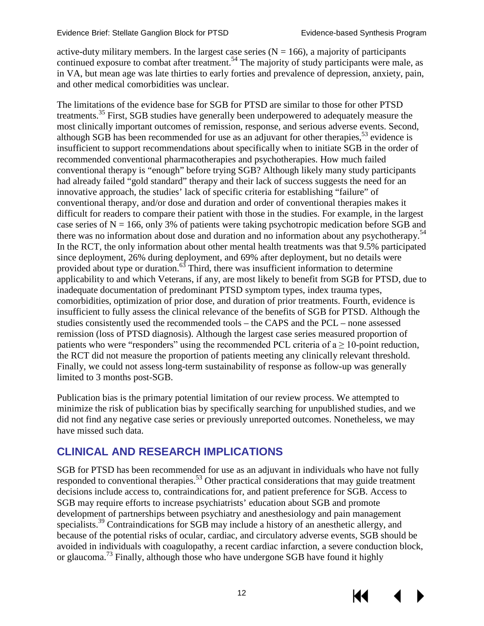active-duty military members. In the largest case series  $(N = 166)$ , a majority of participants continued exposure to combat after treatment.<sup>[54](#page-20-4)</sup> The majority of study participants were male, as in VA, but mean age was late thirties to early forties and prevalence of depression, anxiety, pain, and other medical comorbidities was unclear.

The limitations of the evidence base for SGB for PTSD are similar to those for other PTSD treatments.<sup>[35](#page-19-1)</sup> First, SGB studies have generally been underpowered to adequately measure the most clinically important outcomes of remission, response, and serious adverse events. Second, although SGB has been recommended for use as an adjuvant for other therapies,  $53$  evidence is insufficient to support recommendations about specifically when to initiate SGB in the order of recommended conventional pharmacotherapies and psychotherapies. How much failed conventional therapy is "enough" before trying SGB? Although likely many study participants had already failed "gold standard" therapy and their lack of success suggests the need for an innovative approach, the studies' lack of specific criteria for establishing "failure" of conventional therapy, and/or dose and duration and order of conventional therapies makes it difficult for readers to compare their patient with those in the studies. For example, in the largest case series of  $N = 166$ , only 3% of patients were taking psychotropic medication before SGB and there was no information about dose and duration and no information about any psychotherapy.<sup>54</sup> In the RCT, the only information about other mental health treatments was that 9.5% participated since deployment, 26% during deployment, and 69% after deployment, but no details were provided about type or duration. $^{63}$  Third, there was insufficient information to determine applicability to and which Veterans, if any, are most likely to benefit from SGB for PTSD, due to inadequate documentation of predominant PTSD symptom types, index trauma types, comorbidities, optimization of prior dose, and duration of prior treatments. Fourth, evidence is insufficient to fully assess the clinical relevance of the benefits of SGB for PTSD. Although the studies consistently used the recommended tools – the CAPS and the PCL – none assessed remission (loss of PTSD diagnosis). Although the largest case series measured proportion of patients who were "responders" using the recommended PCL criteria of  $a \ge 10$ -point reduction, the RCT did not measure the proportion of patients meeting any clinically relevant threshold. Finally, we could not assess long-term sustainability of response as follow-up was generally limited to 3 months post-SGB.

Publication bias is the primary potential limitation of our review process. We attempted to minimize the risk of publication bias by specifically searching for unpublished studies, and we did not find any negative case series or previously unreported outcomes. Nonetheless, we may have missed such data.

#### <span id="page-14-0"></span>**CLINICAL AND RESEARCH IMPLICATIONS**

SGB for PTSD has been recommended for use as an adjuvant in individuals who have not fully responded to conventional therapies.<sup>53</sup> Other practical considerations that may guide treatment decisions include access to, contraindications for, and patient preference for SGB. Access to SGB may require efforts to increase psychiatrists' education about SGB and promote development of partnerships between psychiatry and anesthesiology and pain management specialists.<sup>39</sup> Contraindications for SGB may include a history of an anesthetic allergy, and because of the potential risks of ocular, cardiac, and circulatory adverse events, SGB should be avoided in individuals with coagulopathy, a recent cardiac infarction, a severe conduction block, or glaucoma.[73](#page-21-11) Finally, although those who have undergone SGB have found it highly

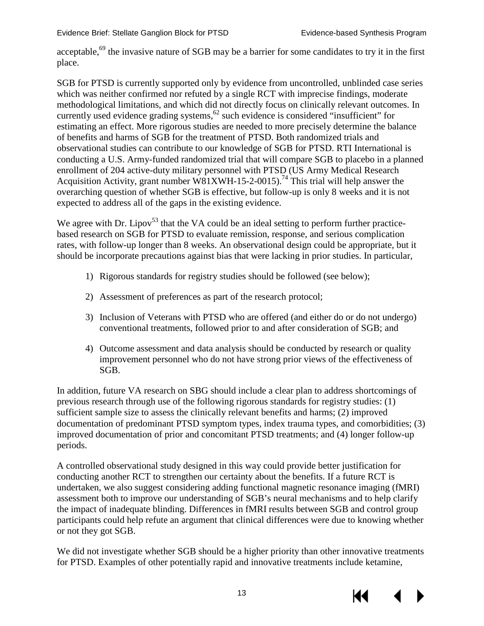acceptable,<sup>69</sup> the invasive nature of SGB may be a barrier for some candidates to try it in the first place.

SGB for PTSD is currently supported only by evidence from uncontrolled, unblinded case series which was neither confirmed nor refuted by a single RCT with imprecise findings, moderate methodological limitations, and which did not directly focus on clinically relevant outcomes. In currently used evidence grading systems,<sup>62</sup> such evidence is considered "insufficient" for estimating an effect. More rigorous studies are needed to more precisely determine the balance of benefits and harms of SGB for the treatment of PTSD. Both randomized trials and observational studies can contribute to our knowledge of SGB for PTSD. RTI International is conducting a U.S. Army-funded randomized trial that will compare SGB to placebo in a planned enrollment of 204 active-duty military personnel with PTSD (US Army Medical Research Acquisition Activity, grant number W81XWH-15-2-0015).<sup>74</sup> This trial will help answer the overarching question of whether SGB is effective, but follow-up is only 8 weeks and it is not expected to address all of the gaps in the existing evidence.

We agree with Dr. Lipov<sup>[53](#page-20-3)</sup> that the VA could be an ideal setting to perform further practicebased research on SGB for PTSD to evaluate remission, response, and serious complication rates, with follow-up longer than 8 weeks. An observational design could be appropriate, but it should be incorporate precautions against bias that were lacking in prior studies. In particular,

- 1) Rigorous standards for registry studies should be followed (see below);
- 2) Assessment of preferences as part of the research protocol;
- 3) Inclusion of Veterans with PTSD who are offered (and either do or do not undergo) conventional treatments, followed prior to and after consideration of SGB; and
- 4) Outcome assessment and data analysis should be conducted by research or quality improvement personnel who do not have strong prior views of the effectiveness of SGB.

In addition, future VA research on SBG should include a clear plan to address shortcomings of previous research through use of the following rigorous standards for registry studies: (1) sufficient sample size to assess the clinically relevant benefits and harms; (2) improved documentation of predominant PTSD symptom types, index trauma types, and comorbidities; (3) improved documentation of prior and concomitant PTSD treatments; and (4) longer follow-up periods.

A controlled observational study designed in this way could provide better justification for conducting another RCT to strengthen our certainty about the benefits. If a future RCT is undertaken, we also suggest considering adding functional magnetic resonance imaging (fMRI) assessment both to improve our understanding of SGB's neural mechanisms and to help clarify the impact of inadequate blinding. Differences in fMRI results between SGB and control group participants could help refute an argument that clinical differences were due to knowing whether or not they got SGB.

We did not investigate whether SGB should be a higher priority than other innovative treatments for PTSD. Examples of other potentially rapid and innovative treatments include ketamine,

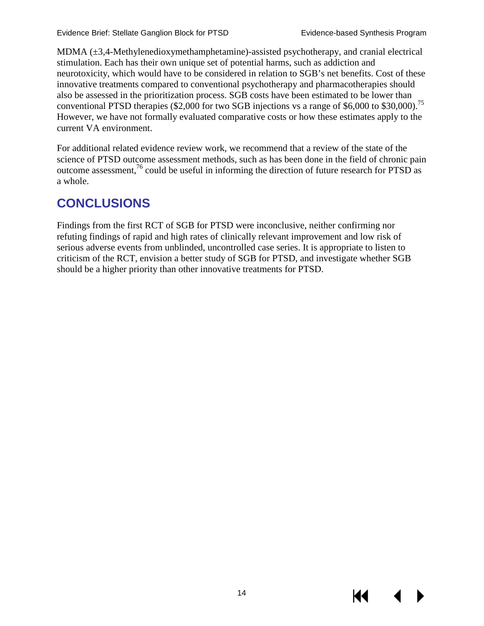MDMA  $(\pm 3,4$ -Methylenedioxymethamphetamine)-assisted psychotherapy, and cranial electrical stimulation. Each has their own unique set of potential harms, such as addiction and neurotoxicity, which would have to be considered in relation to SGB's net benefits. Cost of these innovative treatments compared to conventional psychotherapy and pharmacotherapies should also be assessed in the prioritization process. SGB costs have been estimated to be lower than conventional PTSD therapies (\$2,000 for two SGB injections vs a range of \$6,000 to \$30,000).<sup>75</sup> However, we have not formally evaluated comparative costs or how these estimates apply to the current VA environment.

For additional related evidence review work, we recommend that a review of the state of the science of PTSD outcome assessment methods, such as has been done in the field of chronic pain outcome assessment,<sup>[76](#page-21-14)</sup> could be useful in informing the direction of future research for PTSD as a whole.

### <span id="page-16-0"></span>**CONCLUSIONS**

Findings from the first RCT of SGB for PTSD were inconclusive, neither confirming nor refuting findings of rapid and high rates of clinically relevant improvement and low risk of serious adverse events from unblinded, uncontrolled case series. It is appropriate to listen to criticism of the RCT, envision a better study of SGB for PTSD, and investigate whether SGB should be a higher priority than other innovative treatments for PTSD.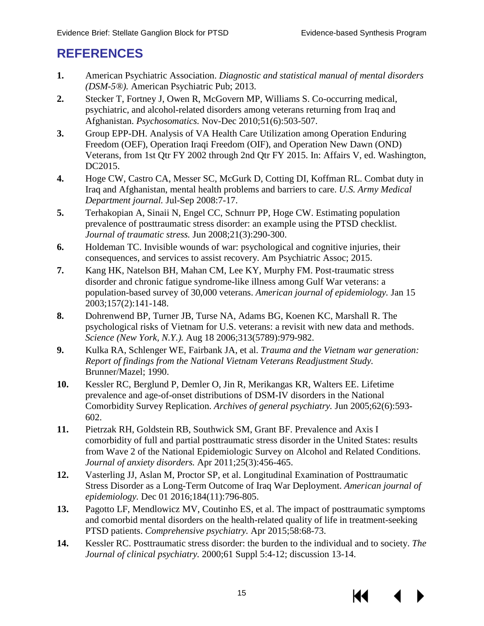### <span id="page-17-0"></span>**REFERENCES**

- <span id="page-17-1"></span>**1.** American Psychiatric Association. *Diagnostic and statistical manual of mental disorders (DSM-5®).* American Psychiatric Pub; 2013.
- <span id="page-17-2"></span>**2.** Stecker T, Fortney J, Owen R, McGovern MP, Williams S. Co-occurring medical, psychiatric, and alcohol-related disorders among veterans returning from Iraq and Afghanistan. *Psychosomatics.* Nov-Dec 2010;51(6):503-507.
- <span id="page-17-3"></span>**3.** Group EPP-DH. Analysis of VA Health Care Utilization among Operation Enduring Freedom (OEF), Operation Iraqi Freedom (OIF), and Operation New Dawn (OND) Veterans, from 1st Qtr FY 2002 through 2nd Qtr FY 2015. In: Affairs V, ed. Washington, DC2015.
- <span id="page-17-4"></span>**4.** Hoge CW, Castro CA, Messer SC, McGurk D, Cotting DI, Koffman RL. Combat duty in Iraq and Afghanistan, mental health problems and barriers to care. *U.S. Army Medical Department journal.* Jul-Sep 2008:7-17.
- **5.** Terhakopian A, Sinaii N, Engel CC, Schnurr PP, Hoge CW. Estimating population prevalence of posttraumatic stress disorder: an example using the PTSD checklist. *Journal of traumatic stress.* Jun 2008;21(3):290-300.
- <span id="page-17-13"></span>**6.** Holdeman TC. Invisible wounds of war: psychological and cognitive injuries, their consequences, and services to assist recovery. Am Psychiatric Assoc; 2015.
- <span id="page-17-7"></span>**7.** Kang HK, Natelson BH, Mahan CM, Lee KY, Murphy FM. Post-traumatic stress disorder and chronic fatigue syndrome-like illness among Gulf War veterans: a population-based survey of 30,000 veterans. *American journal of epidemiology.* Jan 15 2003;157(2):141-148.
- <span id="page-17-8"></span>**8.** Dohrenwend BP, Turner JB, Turse NA, Adams BG, Koenen KC, Marshall R. The psychological risks of Vietnam for U.S. veterans: a revisit with new data and methods. *Science (New York, N.Y.).* Aug 18 2006;313(5789):979-982.
- <span id="page-17-9"></span>**9.** Kulka RA, Schlenger WE, Fairbank JA, et al. *Trauma and the Vietnam war generation: Report of findings from the National Vietnam Veterans Readjustment Study.* Brunner/Mazel; 1990.
- <span id="page-17-5"></span>**10.** Kessler RC, Berglund P, Demler O, Jin R, Merikangas KR, Walters EE. Lifetime prevalence and age-of-onset distributions of DSM-IV disorders in the National Comorbidity Survey Replication. *Archives of general psychiatry.* Jun 2005;62(6):593- 602.
- <span id="page-17-6"></span>**11.** Pietrzak RH, Goldstein RB, Southwick SM, Grant BF. Prevalence and Axis I comorbidity of full and partial posttraumatic stress disorder in the United States: results from Wave 2 of the National Epidemiologic Survey on Alcohol and Related Conditions. *Journal of anxiety disorders.* Apr 2011;25(3):456-465.
- <span id="page-17-10"></span>**12.** Vasterling JJ, Aslan M, Proctor SP, et al. Longitudinal Examination of Posttraumatic Stress Disorder as a Long-Term Outcome of Iraq War Deployment. *American journal of epidemiology.* Dec 01 2016;184(11):796-805.
- <span id="page-17-11"></span>**13.** Pagotto LF, Mendlowicz MV, Coutinho ES, et al. The impact of posttraumatic symptoms and comorbid mental disorders on the health-related quality of life in treatment-seeking PTSD patients. *Comprehensive psychiatry.* Apr 2015;58:68-73.
- <span id="page-17-12"></span>**14.** Kessler RC. Posttraumatic stress disorder: the burden to the individual and to society. *The Journal of clinical psychiatry.* 2000;61 Suppl 5:4-12; discussion 13-14.

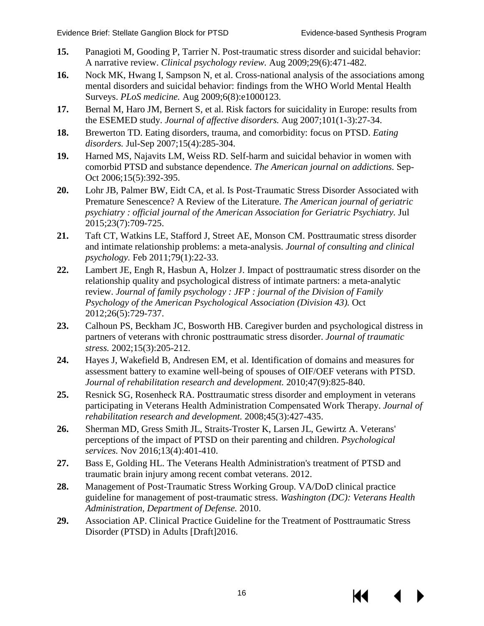- **15.** Panagioti M, Gooding P, Tarrier N. Post-traumatic stress disorder and suicidal behavior: A narrative review. *Clinical psychology review.* Aug 2009;29(6):471-482.
- **16.** Nock MK, Hwang I, Sampson N, et al. Cross-national analysis of the associations among mental disorders and suicidal behavior: findings from the WHO World Mental Health Surveys. *PLoS medicine.* Aug 2009;6(8):e1000123.
- **17.** Bernal M, Haro JM, Bernert S, et al. Risk factors for suicidality in Europe: results from the ESEMED study. *Journal of affective disorders.* Aug 2007;101(1-3):27-34.
- **18.** Brewerton TD. Eating disorders, trauma, and comorbidity: focus on PTSD. *Eating disorders.* Jul-Sep 2007;15(4):285-304.
- **19.** Harned MS, Najavits LM, Weiss RD. Self-harm and suicidal behavior in women with comorbid PTSD and substance dependence. *The American journal on addictions.* Sep-Oct 2006;15(5):392-395.
- <span id="page-18-0"></span>**20.** Lohr JB, Palmer BW, Eidt CA, et al. Is Post-Traumatic Stress Disorder Associated with Premature Senescence? A Review of the Literature. *The American journal of geriatric psychiatry : official journal of the American Association for Geriatric Psychiatry.* Jul 2015;23(7):709-725.
- <span id="page-18-1"></span>**21.** Taft CT, Watkins LE, Stafford J, Street AE, Monson CM. Posttraumatic stress disorder and intimate relationship problems: a meta-analysis. *Journal of consulting and clinical psychology.* Feb 2011;79(1):22-33.
- **22.** Lambert JE, Engh R, Hasbun A, Holzer J. Impact of posttraumatic stress disorder on the relationship quality and psychological distress of intimate partners: a meta-analytic review. *Journal of family psychology : JFP : journal of the Division of Family Psychology of the American Psychological Association (Division 43).* Oct 2012;26(5):729-737.
- **23.** Calhoun PS, Beckham JC, Bosworth HB. Caregiver burden and psychological distress in partners of veterans with chronic posttraumatic stress disorder. *Journal of traumatic stress.* 2002;15(3):205-212.
- **24.** Hayes J, Wakefield B, Andresen EM, et al. Identification of domains and measures for assessment battery to examine well-being of spouses of OIF/OEF veterans with PTSD. *Journal of rehabilitation research and development.* 2010;47(9):825-840.
- **25.** Resnick SG, Rosenheck RA. Posttraumatic stress disorder and employment in veterans participating in Veterans Health Administration Compensated Work Therapy. *Journal of rehabilitation research and development.* 2008;45(3):427-435.
- **26.** Sherman MD, Gress Smith JL, Straits-Troster K, Larsen JL, Gewirtz A. Veterans' perceptions of the impact of PTSD on their parenting and children. *Psychological services.* Nov 2016;13(4):401-410.
- <span id="page-18-2"></span>**27.** Bass E, Golding HL. The Veterans Health Administration's treatment of PTSD and traumatic brain injury among recent combat veterans. 2012.
- <span id="page-18-3"></span>**28.** Management of Post-Traumatic Stress Working Group. VA/DoD clinical practice guideline for management of post-traumatic stress. *Washington (DC): Veterans Health Administration, Department of Defense.* 2010.
- <span id="page-18-4"></span>**29.** Association AP. Clinical Practice Guideline for the Treatment of Posttraumatic Stress Disorder (PTSD) in Adults [Draft]2016.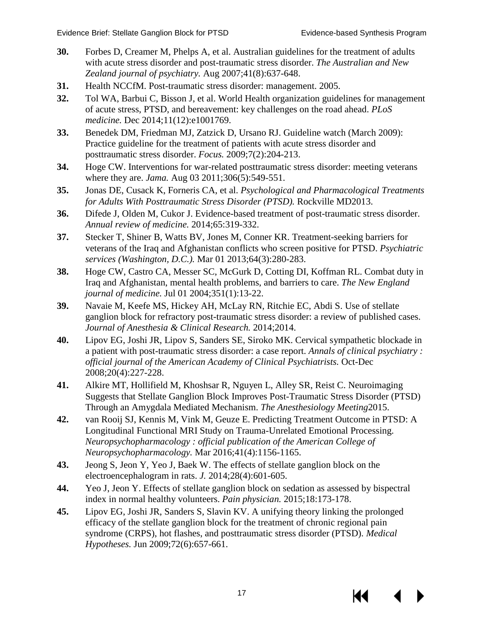- **30.** Forbes D, Creamer M, Phelps A, et al. Australian guidelines for the treatment of adults with acute stress disorder and post-traumatic stress disorder. *The Australian and New Zealand journal of psychiatry.* Aug 2007;41(8):637-648.
- **31.** Health NCCfM. Post-traumatic stress disorder: management. 2005.
- **32.** Tol WA, Barbui C, Bisson J, et al. World Health organization guidelines for management of acute stress, PTSD, and bereavement: key challenges on the road ahead. *PLoS medicine.* Dec 2014;11(12):e1001769.
- <span id="page-19-12"></span>**33.** Benedek DM, Friedman MJ, Zatzick D, Ursano RJ. Guideline watch (March 2009): Practice guideline for the treatment of patients with acute stress disorder and posttraumatic stress disorder. *Focus.* 2009;7(2):204-213.
- <span id="page-19-0"></span>**34.** Hoge CW. Interventions for war-related posttraumatic stress disorder: meeting veterans where they are. *Jama.* Aug 03 2011;306(5):549-551.
- <span id="page-19-1"></span>**35.** Jonas DE, Cusack K, Forneris CA, et al. *Psychological and Pharmacological Treatments for Adults With Posttraumatic Stress Disorder (PTSD).* Rockville MD2013.
- <span id="page-19-2"></span>**36.** Difede J, Olden M, Cukor J. Evidence-based treatment of post-traumatic stress disorder. *Annual review of medicine.* 2014;65:319-332.
- <span id="page-19-3"></span>**37.** Stecker T, Shiner B, Watts BV, Jones M, Conner KR. Treatment-seeking barriers for veterans of the Iraq and Afghanistan conflicts who screen positive for PTSD. *Psychiatric services (Washington, D.C.).* Mar 01 2013;64(3):280-283.
- <span id="page-19-4"></span>**38.** Hoge CW, Castro CA, Messer SC, McGurk D, Cotting DI, Koffman RL. Combat duty in Iraq and Afghanistan, mental health problems, and barriers to care. *The New England journal of medicine.* Jul 01 2004;351(1):13-22.
- <span id="page-19-5"></span>**39.** Navaie M, Keefe MS, Hickey AH, McLay RN, Ritchie EC, Abdi S. Use of stellate ganglion block for refractory post-traumatic stress disorder: a review of published cases. *Journal of Anesthesia & Clinical Research.* 2014;2014.
- <span id="page-19-6"></span>**40.** Lipov EG, Joshi JR, Lipov S, Sanders SE, Siroko MK. Cervical sympathetic blockade in a patient with post-traumatic stress disorder: a case report. *Annals of clinical psychiatry : official journal of the American Academy of Clinical Psychiatrists.* Oct-Dec 2008;20(4):227-228.
- <span id="page-19-7"></span>**41.** Alkire MT, Hollifield M, Khoshsar R, Nguyen L, Alley SR, Reist C. Neuroimaging Suggests that Stellate Ganglion Block Improves Post-Traumatic Stress Disorder (PTSD) Through an Amygdala Mediated Mechanism. *The Anesthesiology Meeting*2015.
- <span id="page-19-8"></span>**42.** van Rooij SJ, Kennis M, Vink M, Geuze E. Predicting Treatment Outcome in PTSD: A Longitudinal Functional MRI Study on Trauma-Unrelated Emotional Processing. *Neuropsychopharmacology : official publication of the American College of Neuropsychopharmacology.* Mar 2016;41(4):1156-1165.
- <span id="page-19-9"></span>**43.** Jeong S, Jeon Y, Yeo J, Baek W. The effects of stellate ganglion block on the electroencephalogram in rats. *J.* 2014;28(4):601-605.
- <span id="page-19-10"></span>**44.** Yeo J, Jeon Y. Effects of stellate ganglion block on sedation as assessed by bispectral index in normal healthy volunteers. *Pain physician.* 2015;18:173-178.
- <span id="page-19-11"></span>**45.** Lipov EG, Joshi JR, Sanders S, Slavin KV. A unifying theory linking the prolonged efficacy of the stellate ganglion block for the treatment of chronic regional pain syndrome (CRPS), hot flashes, and posttraumatic stress disorder (PTSD). *Medical Hypotheses.* Jun 2009;72(6):657-661.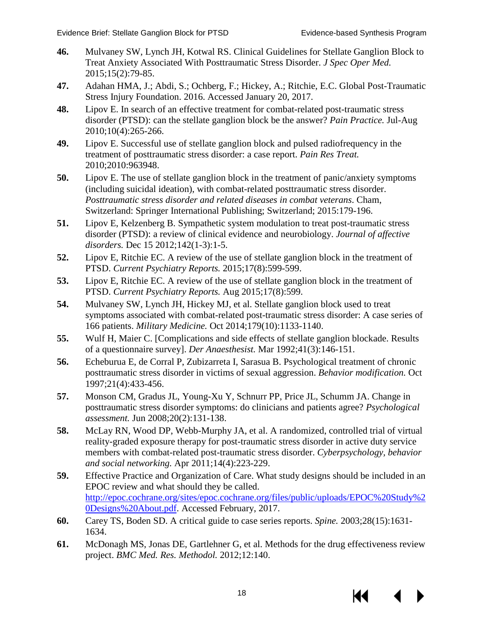- <span id="page-20-0"></span>**46.** Mulvaney SW, Lynch JH, Kotwal RS. Clinical Guidelines for Stellate Ganglion Block to Treat Anxiety Associated With Posttraumatic Stress Disorder. *J Spec Oper Med.*  2015;15(2):79-85.
- <span id="page-20-1"></span>**47.** Adahan HMA, J.; Abdi, S.; Ochberg, F.; Hickey, A.; Ritchie, E.C. Global Post-Traumatic Stress Injury Foundation. 2016. Accessed January 20, 2017.
- <span id="page-20-2"></span>**48.** Lipov E. In search of an effective treatment for combat-related post-traumatic stress disorder (PTSD): can the stellate ganglion block be the answer? *Pain Practice.* Jul-Aug 2010;10(4):265-266.
- **49.** Lipov E. Successful use of stellate ganglion block and pulsed radiofrequency in the treatment of posttraumatic stress disorder: a case report. *Pain Res Treat.*  2010;2010:963948.
- **50.** Lipov E. The use of stellate ganglion block in the treatment of panic/anxiety symptoms (including suicidal ideation), with combat-related posttraumatic stress disorder. *Posttraumatic stress disorder and related diseases in combat veterans*. Cham, Switzerland: Springer International Publishing; Switzerland; 2015:179-196.
- **51.** Lipov E, Kelzenberg B. Sympathetic system modulation to treat post-traumatic stress disorder (PTSD): a review of clinical evidence and neurobiology. *Journal of affective disorders.* Dec 15 2012;142(1-3):1-5.
- <span id="page-20-12"></span>**52.** Lipov E, Ritchie EC. A review of the use of stellate ganglion block in the treatment of PTSD. *Current Psychiatry Reports.* 2015;17(8):599-599.
- <span id="page-20-3"></span>**53.** Lipov E, Ritchie EC. A review of the use of stellate ganglion block in the treatment of PTSD. *Current Psychiatry Reports.* Aug 2015;17(8):599.
- <span id="page-20-4"></span>**54.** Mulvaney SW, Lynch JH, Hickey MJ, et al. Stellate ganglion block used to treat symptoms associated with combat-related post-traumatic stress disorder: A case series of 166 patients. *Military Medicine.* Oct 2014;179(10):1133-1140.
- <span id="page-20-5"></span>**55.** Wulf H, Maier C. [Complications and side effects of stellate ganglion blockade. Results of a questionnaire survey]. *Der Anaesthesist.* Mar 1992;41(3):146-151.
- <span id="page-20-6"></span>**56.** Echeburua E, de Corral P, Zubizarreta I, Sarasua B. Psychological treatment of chronic posttraumatic stress disorder in victims of sexual aggression. *Behavior modification.* Oct 1997;21(4):433-456.
- <span id="page-20-7"></span>**57.** Monson CM, Gradus JL, Young-Xu Y, Schnurr PP, Price JL, Schumm JA. Change in posttraumatic stress disorder symptoms: do clinicians and patients agree? *Psychological assessment.* Jun 2008;20(2):131-138.
- <span id="page-20-8"></span>**58.** McLay RN, Wood DP, Webb-Murphy JA, et al. A randomized, controlled trial of virtual reality-graded exposure therapy for post-traumatic stress disorder in active duty service members with combat-related post-traumatic stress disorder. *Cyberpsychology, behavior and social networking.* Apr 2011;14(4):223-229.
- <span id="page-20-9"></span>**59.** Effective Practice and Organization of Care. What study designs should be included in an EPOC review and what should they be called. [http://epoc.cochrane.org/sites/epoc.cochrane.org/files/public/uploads/EPOC%20Study%2](http://epoc.cochrane.org/sites/epoc.cochrane.org/files/public/uploads/EPOC%20Study%20Designs%20About.pdf) [0Designs%20About.pdf.](http://epoc.cochrane.org/sites/epoc.cochrane.org/files/public/uploads/EPOC%20Study%20Designs%20About.pdf) Accessed February, 2017.
- <span id="page-20-10"></span>**60.** Carey TS, Boden SD. A critical guide to case series reports. *Spine.* 2003;28(15):1631- 1634.
- <span id="page-20-11"></span>**61.** McDonagh MS, Jonas DE, Gartlehner G, et al. Methods for the drug effectiveness review project. *BMC Med. Res. Methodol.* 2012;12:140.